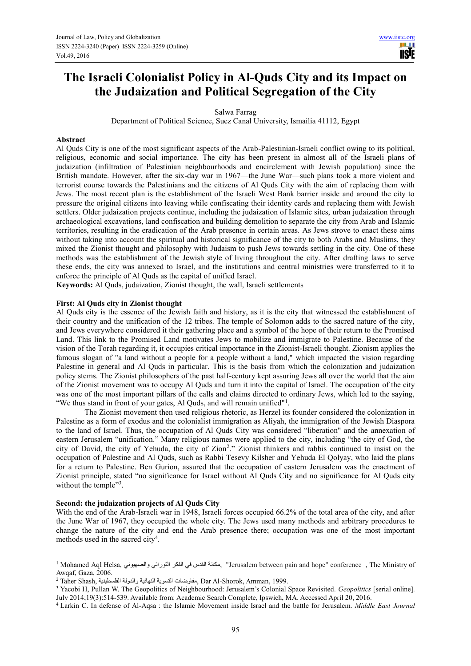m **USE** 

# **The Israeli Colonialist Policy in Al-Quds City and its Impact on the Judaization and Political Segregation of the City**

Salwa Farrag

Department of Political Science, Suez Canal University, Ismailia 41112, Egypt

#### **Abstract**

Al Quds City is one of the most significant aspects of the Arab-Palestinian-Israeli conflict owing to its political, religious, economic and social importance. The city has been present in almost all of the Israeli plans of judaization (infiltration of Palestinian neighbourhoods and encirclement with Jewish population) since the British mandate. However, after the six-day war in 1967—the June War—such plans took a more violent and terrorist course towards the Palestinians and the citizens of Al Quds City with the aim of replacing them with Jews. The most recent plan is the establishment of the Israeli West Bank barrier inside and around the city to pressure the original citizens into leaving while confiscating their identity cards and replacing them with Jewish settlers. Older judaization projects continue, including the judaization of Islamic sites, urban judaization through archaeological excavations, land confiscation and building demolition to separate the city from Arab and Islamic territories, resulting in the eradication of the Arab presence in certain areas. As Jews strove to enact these aims without taking into account the spiritual and historical significance of the city to both Arabs and Muslims, they mixed the Zionist thought and philosophy with Judaism to push Jews towards settling in the city. One of these methods was the establishment of the Jewish style of living throughout the city. After drafting laws to serve these ends, the city was annexed to Israel, and the institutions and central ministries were transferred to it to enforce the principle of Al Quds as the capital of unified Israel.

**Keywords:** Al Quds, judaization, Zionist thought, the wall, Israeli settlements

#### **First: Al Quds city in Zionist thought**

Al Quds city is the essence of the Jewish faith and history, as it is the city that witnessed the establishment of their country and the unification of the 12 tribes. The temple of Solomon adds to the sacred nature of the city, and Jews everywhere considered it their gathering place and a symbol of the hope of their return to the Promised Land. This link to the Promised Land motivates Jews to mobilize and immigrate to Palestine. Because of the vision of the Torah regarding it, it occupies critical importance in the Zionist-Israeli thought. Zionism applies the famous slogan of "a land without a people for a people without a land," which impacted the vision regarding Palestine in general and Al Quds in particular. This is the basis from which the colonization and judaization policy stems. The Zionist philosophers of the past half-century kept assuring Jews all over the world that the aim of the Zionist movement was to occupy Al Quds and turn it into the capital of Israel. The occupation of the city was one of the most important pillars of the calls and claims directed to ordinary Jews, which led to the saying, "We thus stand in front of your gates, Al Quds, and will remain unified"<sup>1</sup>.

The Zionist movement then used religious rhetoric, as Herzel its founder considered the colonization in Palestine as a form of exodus and the colonialist immigration as Aliyah, the immigration of the Jewish Diaspora to the land of Israel. Thus, the occupation of Al Quds City was considered "liberation" and the annexation of eastern Jerusalem "unification." Many religious names were applied to the city, including "the city of God, the city of David, the city of Yehuda, the city of Zion<sup>2</sup> ." Zionist thinkers and rabbis continued to insist on the occupation of Palestine and Al Quds, such as Rabbi Tesevy Kilsher and Yehuda El Qolyay, who laid the plans for a return to Palestine. Ben Gurion, assured that the occupation of eastern Jerusalem was the enactment of Zionist principle, stated "no significance for Israel without Al Quds City and no significance for Al Quds city without the temple"<sup>3</sup>.

#### **Second: the judaization projects of Al Quds City**

 $\overline{a}$ 

With the end of the Arab-Israeli war in 1948, Israeli forces occupied 66.2% of the total area of the city, and after the June War of 1967, they occupied the whole city. The Jews used many methods and arbitrary procedures to change the nature of the city and end the Arab presence there; occupation was one of the most important methods used in the sacred city<sup>4</sup>.

<sup>1</sup> Mohamed Aql Helsa, والصھیوني التوراتي الفكر في القدس مكانة," Jerusalem between pain and hope" conference , The Ministry of Awqaf, Gaza, 2006.

<sup>2</sup> Taher Shash, الفلسطینیة والدولة النھائیة التسویة مفاوضات, Dar Al-Shorok, Amman, 1999.

<sup>3</sup> Yacobi H, Pullan W. The Geopolitics of Neighbourhood: Jerusalem's Colonial Space Revisited. *Geopolitics* [serial online]. July 2014;19(3):514-539. Available from: Academic Search Complete, Ipswich, MA. Accessed April 20, 2016.

<sup>4</sup> Larkin C. In defense of Al-Aqsa : the Islamic Movement inside Israel and the battle for Jerusalem. *Middle East Journal*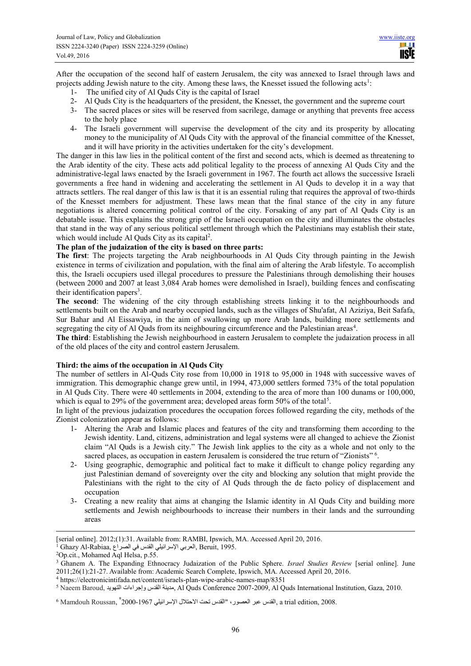After the occupation of the second half of eastern Jerusalem, the city was annexed to Israel through laws and projects adding Jewish nature to the city. Among these laws, the Knesset issued the following acts<sup>1</sup>:

- 1- The unified city of Al Quds City is the capital of Israel
- 2- Al Quds City is the headquarters of the president, the Knesset, the government and the supreme court
- 3- The sacred places or sites will be reserved from sacrilege, damage or anything that prevents free access to the holy place
- 4- The Israeli government will supervise the development of the city and its prosperity by allocating money to the municipality of Al Quds City with the approval of the financial committee of the Knesset, and it will have priority in the activities undertaken for the city's development.

The danger in this law lies in the political content of the first and second acts, which is deemed as threatening to the Arab identity of the city. These acts add political legality to the process of annexing Al Quds City and the administrative-legal laws enacted by the Israeli government in 1967. The fourth act allows the successive Israeli governments a free hand in widening and accelerating the settlement in Al Quds to develop it in a way that attracts settlers. The real danger of this law is that it is an essential ruling that requires the approval of two-thirds of the Knesset members for adjustment. These laws mean that the final stance of the city in any future negotiations is altered concerning political control of the city. Forsaking of any part of Al Quds City is an debatable issue. This explains the strong grip of the Israeli occupation on the city and illuminates the obstacles that stand in the way of any serious political settlement through which the Palestinians may establish their state, which would include Al Quds City as its capital<sup>2</sup>.

# **The plan of the judaization of the city is based on three parts:**

**The first**: The projects targeting the Arab neighbourhoods in Al Quds City through painting in the Jewish existence in terms of civilization and population, with the final aim of altering the Arab lifestyle. To accomplish this, the Israeli occupiers used illegal procedures to pressure the Palestinians through demolishing their houses (between 2000 and 2007 at least 3,084 Arab homes were demolished in Israel), building fences and confiscating their identification papers<sup>3</sup>.

**The second**: The widening of the city through establishing streets linking it to the neighbourhoods and settlements built on the Arab and nearby occupied lands, such as the villages of Shu'afat, Al Aziziya, Beit Safafa, Sur Bahar and Al Eissawiya, in the aim of swallowing up more Arab lands, building more settlements and segregating the city of Al Quds from its neighbouring circumference and the Palestinian areas<sup>4</sup>.

**The third**: Establishing the Jewish neighbourhood in eastern Jerusalem to complete the judaization process in all of the old places of the city and control eastern Jerusalem.

#### **Third: the aims of the occupation in Al Quds City**

The number of settlers in Al-Quds City rose from 10,000 in 1918 to 95,000 in 1948 with successive waves of immigration. This demographic change grew until, in 1994, 473,000 settlers formed 73% of the total population in Al Quds City. There were 40 settlements in 2004, extending to the area of more than 100 dunams or 100,000, which is equal to 29% of the government area; developed areas form 50% of the total<sup>5</sup>.

In light of the previous judaization procedures the occupation forces followed regarding the city, methods of the Zionist colonization appear as follows:

- 1- Altering the Arab and Islamic places and features of the city and transforming them according to the Jewish identity. Land, citizens, administration and legal systems were all changed to achieve the Zionist claim "Al Quds is a Jewish city." The Jewish link applies to the city as a whole and not only to the sacred places, as occupation in eastern Jerusalem is considered the true return of "Zionists" <sup>6</sup>.
- 2- Using geographic, demographic and political fact to make it difficult to change policy regarding any just Palestinian demand of sovereignty over the city and blocking any solution that might provide the Palestinians with the right to the city of Al Quds through the de facto policy of displacement and occupation
- 3- Creating a new reality that aims at changing the Islamic identity in Al Quds City and building more settlements and Jewish neighbourhoods to increase their numbers in their lands and the surrounding areas

 $\overline{a}$ 

<sup>[</sup>serial online]. 2012;(1):31. Available from: RAMBI, Ipswich, MA. Accessed April 20, 2016.

 $^1$  Ghazy Al-Rabiaa, العربي الإسرائيلي القدس في الصراع, Beruit, 1995.

<sup>2</sup>Op.cit., Mohamed Aql Helsa, p.55.

<sup>3</sup> Ghanem A. The Expanding Ethnocracy Judaization of the Public Sphere. *Israel Studies Review* [serial online]. June 2011;26(1):21-27. Available from: Academic Search Complete, Ipswich, MA. Accessed April 20, 2016.

<sup>4</sup> https://electronicintifada.net/content/israels-plan-wipe-arabic-names-map/8351

<sup>5</sup> Naeem Baroud, التھوید وإجراءات القدس مدینة, Al Quds Conference 2007-2009, Al Quds International Institution, Gaza, 2010.

 $^6$  Mamdouh Roussan,  $^9$ 2000-1967 ,القدس عبر العصور ، "القدس تحت الاحتلال الإسرائيلي 2007-1967" , a trial edition  $2008$ .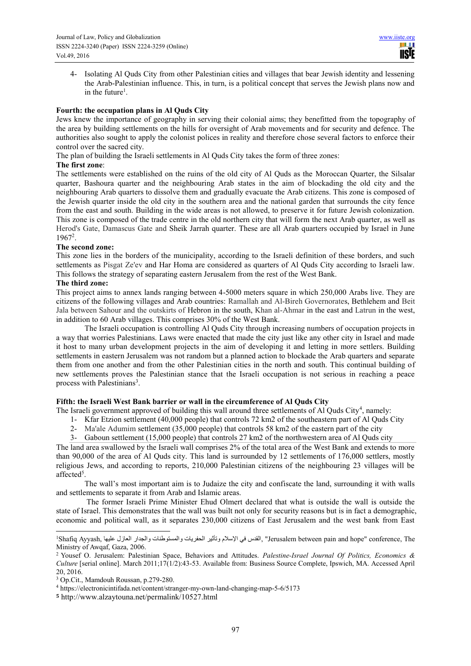4- Isolating Al Quds City from other Palestinian cities and villages that bear Jewish identity and lessening the Arab-Palestinian influence. This, in turn, is a political concept that serves the Jewish plans now and in the future<sup>1</sup>.

## **Fourth: the occupation plans in Al Quds City**

Jews knew the importance of geography in serving their colonial aims; they benefitted from the topography of the area by building settlements on the hills for oversight of Arab movements and for security and defence. The authorities also sought to apply the colonist polices in reality and therefore chose several factors to enforce their control over the sacred city.

The plan of building the Israeli settlements in Al Quds City takes the form of three zones:

#### **The first zone**:

The settlements were established on the ruins of the old city of Al Quds as the Moroccan Quarter, the Silsalar quarter, Bashoura quarter and the neighbouring Arab states in the aim of blockading the old city and the neighbouring Arab quarters to dissolve them and gradually evacuate the Arab citizens. This zone is composed of the Jewish quarter inside the old city in the southern area and the national garden that surrounds the city fence from the east and south. Building in the wide areas is not allowed, to preserve it for future Jewish colonization. This zone is composed of the trade centre in the old northern city that will form the next Arab quarter, as well as Herod's Gate, Damascus Gate and Sheik Jarrah quarter. These are all Arab quarters occupied by Israel in June 1967<sup>2</sup> .

#### **The second zone:**

This zone lies in the borders of the municipality, according to the Israeli definition of these borders, and such settlements as Pisgat Ze'ev and Har Homa are considered as quarters of Al Quds City according to Israeli law. This follows the strategy of separating eastern Jerusalem from the rest of the West Bank.

## **The third zone:**

This project aims to annex lands ranging between 4-5000 meters square in which 250,000 Arabs live. They are citizens of the following villages and Arab countries: Ramallah and Al-Bireh Governorates, Bethlehem and Beit Jala between Sahour and the outskirts of Hebron in the south, Khan al-Ahmar in the east and Latrun in the west, in addition to 60 Arab villages. This comprises 30% of the West Bank.

The Israeli occupation is controlling Al Quds City through increasing numbers of occupation projects in a way that worries Palestinians. Laws were enacted that made the city just like any other city in Israel and made it host to many urban development projects in the aim of developing it and letting in more settlers. Building settlements in eastern Jerusalem was not random but a planned action to blockade the Arab quarters and separate them from one another and from the other Palestinian cities in the north and south. This continual building of new settlements proves the Palestinian stance that the Israeli occupation is not serious in reaching a peace process with Palestinians<sup>3</sup>.

# **Fifth: the Israeli West Bank barrier or wall in the circumference of Al Quds City**

The Israeli government approved of building this wall around three settlements of Al Quds City<sup>4</sup>, namely:

- 1- Kfar Etzion settlement (40,000 people) that controls 72 km2 of the southeastern part of Al Quds City
- 2- Ma'ale Adumim settlement (35,000 people) that controls 58 km2 of the eastern part of the city
- 3- Gaboun settlement (15,000 people) that controls 27 km2 of the northwestern area of Al Quds city

The land area swallowed by the Israeli wall comprises 2% of the total area of the West Bank and extends to more than 90,000 of the area of Al Quds city. This land is surrounded by 12 settlements of 176,000 settlers, mostly religious Jews, and according to reports, 210,000 Palestinian citizens of the neighbouring 23 villages will be affected<sup>5</sup>.

The wall's most important aim is to Judaize the city and confiscate the land, surrounding it with walls and settlements to separate it from Arab and Islamic areas.

 The former Israeli Prime Minister Ehud Olmert declared that what is outside the wall is outside the state of Israel. This demonstrates that the wall was built not only for security reasons but is in fact a demographic, economic and political wall, as it separates 230,000 citizens of East Jerusalem and the west bank from East

 $\overline{a}$ 

The ,The ,القدس في الإسلام وتأثیر الحفریات والمستوطنات والجدار العازل علیها ,Shafiq Ayyash والجدار العازل علیها ,Shafiq Ayyash والجدار Ministry of Awqaf, Gaza, 2006.

<sup>2</sup> Yousef O. Jerusalem: Palestinian Space, Behaviors and Attitudes. *Palestine-Israel Journal Of Politics, Economics & Culture* [serial online]. March 2011;17(1/2):43-53. Available from: Business Source Complete, Ipswich, MA. Accessed April 20, 2016.

<sup>3</sup> Op.Cit., Mamdouh Roussan, p.279-280.

<sup>4</sup> https://electronicintifada.net/content/stranger-my-own-land-changing-map-5-6/5173

**<sup>5</sup>** http://www.alzaytouna.net/permalink/10527.html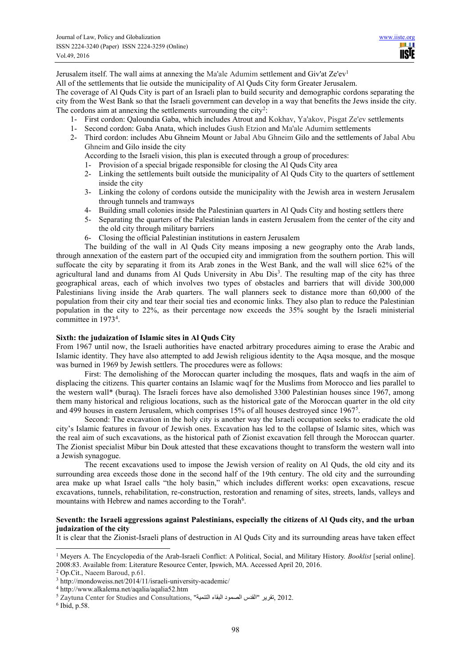Jerusalem itself. The wall aims at annexing the Ma'ale Adumim settlement and Giv'at Ze'ev<sup>1</sup>

All of the settlements that lie outside the municipality of Al Quds City form Greater Jerusalem.

The coverage of Al Quds City is part of an Israeli plan to build security and demographic cordons separating the city from the West Bank so that the Israeli government can develop in a way that benefits the Jews inside the city. The cordons aim at annexing the settlements surrounding the city<sup>2</sup>:

- 1- First cordon: Qaloundia Gaba, which includes Atrout and Kokhav, Ya'akov, Pisgat Ze'ev settlements
- 1- Second cordon: Gaba Anata, which includes Gush Etzion and Ma'ale Adumim settlements
- 2- Third cordon: includes Abu Ghneim Mount or Jabal Abu Ghneim Gilo and the settlements of Jabal Abu Ghneim and Gilo inside the city

According to the Israeli vision, this plan is executed through a group of procedures:

- 1- Provision of a special brigade responsible for closing the Al Quds City area
- 2- Linking the settlements built outside the municipality of Al Quds City to the quarters of settlement inside the city
- 3- Linking the colony of cordons outside the municipality with the Jewish area in western Jerusalem through tunnels and tramways
- 4- Building small colonies inside the Palestinian quarters in Al Quds City and hosting settlers there
- 5- Separating the quarters of the Palestinian lands in eastern Jerusalem from the center of the city and the old city through military barriers
- 6- Closing the official Palestinian institutions in eastern Jerusalem

The building of the wall in Al Quds City means imposing a new geography onto the Arab lands, through annexation of the eastern part of the occupied city and immigration from the southern portion. This will suffocate the city by separating it from its Arab zones in the West Bank, and the wall will slice 62% of the agricultural land and dunams from Al Quds University in Abu Dis<sup>3</sup>. The resulting map of the city has three geographical areas, each of which involves two types of obstacles and barriers that will divide 300,000 Palestinians living inside the Arab quarters. The wall planners seek to distance more than 60,000 of the population from their city and tear their social ties and economic links. They also plan to reduce the Palestinian population in the city to 22%, as their percentage now exceeds the 35% sought by the Israeli ministerial committee in 1973<sup>4</sup> .

# **Sixth: the judaization of Islamic sites in Al Quds City**

From 1967 until now, the Israeli authorities have enacted arbitrary procedures aiming to erase the Arabic and Islamic identity. They have also attempted to add Jewish religious identity to the Aqsa mosque, and the mosque was burned in 1969 by Jewish settlers. The procedures were as follows:

First: The demolishing of the Moroccan quarter including the mosques, flats and waqfs in the aim of displacing the citizens. This quarter contains an Islamic waqf for the Muslims from Morocco and lies parallel to the western wall\* (buraq). The Israeli forces have also demolished 3300 Palestinian houses since 1967, among them many historical and religious locations, such as the historical gate of the Moroccan quarter in the old city and 499 houses in eastern Jerusalem, which comprises 15% of all houses destroyed since 1967<sup>5</sup>.

Second: The excavation in the holy city is another way the Israeli occupation seeks to eradicate the old city's Islamic features in favour of Jewish ones. Excavation has led to the collapse of Islamic sites, which was the real aim of such excavations, as the historical path of Zionist excavation fell through the Moroccan quarter. The Zionist specialist Mibur bin Douk attested that these excavations thought to transform the western wall into a Jewish synagogue.

The recent excavations used to impose the Jewish version of reality on Al Quds, the old city and its surrounding area exceeds those done in the second half of the 19th century. The old city and the surrounding area make up what Israel calls "the holy basin," which includes different works: open excavations, rescue excavations, tunnels, rehabilitation, re-construction, restoration and renaming of sites, streets, lands, valleys and mountains with Hebrew and names according to the Torah<sup>6</sup>.

## **Seventh: the Israeli aggressions against Palestinians, especially the citizens of Al Quds city, and the urban judaization of the city**

It is clear that the Zionist-Israeli plans of destruction in Al Quds City and its surrounding areas have taken effect

 $\overline{a}$ 

<sup>1</sup> Meyers A. The Encyclopedia of the Arab-Israeli Conflict: A Political, Social, and Military History. *Booklist* [serial online]. 2008:83. Available from: Literature Resource Center, Ipswich, MA. Accessed April 20, 2016.

<sup>2</sup> Op.Cit., Naeem Baroud, p.61.

<sup>3</sup> http://mondoweiss.net/2014/11/israeli-university-academic/

<sup>4</sup> http://www.alkalema.net/aqalia/aqalia52.htm

<sup>5</sup> Zaytuna Center for Studies and Consultations, "التنمیة البقاء الصمود القدس "تقریر, 2012.

<sup>6</sup> Ibid, p.58.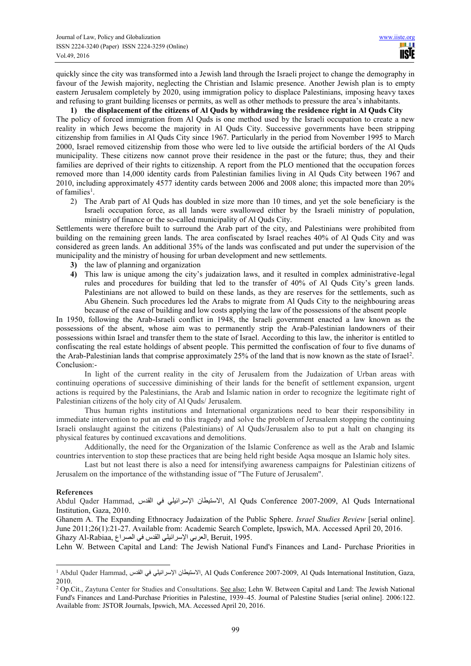quickly since the city was transformed into a Jewish land through the Israeli project to change the demography in favour of the Jewish majority, neglecting the Christian and Islamic presence. Another Jewish plan is to empty eastern Jerusalem completely by 2020, using immigration policy to displace Palestinians, imposing heavy taxes and refusing to grant building licenses or permits, as well as other methods to pressure the area's inhabitants.

#### **1) the displacement of the citizens of Al Quds by withdrawing the residence right in Al Quds City**

The policy of forced immigration from Al Quds is one method used by the Israeli occupation to create a new reality in which Jews become the majority in Al Quds City. Successive governments have been stripping citizenship from families in Al Quds City since 1967. Particularly in the period from November 1995 to March 2000, Israel removed citizenship from those who were led to live outside the artificial borders of the Al Quds municipality. These citizens now cannot prove their residence in the past or the future; thus, they and their families are deprived of their rights to citizenship. A report from the PLO mentioned that the occupation forces removed more than 14,000 identity cards from Palestinian families living in Al Quds City between 1967 and 2010, including approximately 4577 identity cards between 2006 and 2008 alone; this impacted more than 20% of families<sup>1</sup>.

2) The Arab part of Al Quds has doubled in size more than 10 times, and yet the sole beneficiary is the Israeli occupation force, as all lands were swallowed either by the Israeli ministry of population, ministry of finance or the so-called municipality of Al Quds City.

Settlements were therefore built to surround the Arab part of the city, and Palestinians were prohibited from building on the remaining green lands. The area confiscated by Israel reaches 40% of Al Quds City and was considered as green lands. An additional 35% of the lands was confiscated and put under the supervision of the municipality and the ministry of housing for urban development and new settlements.

- **3)** the law of planning and organization
- **4)** This law is unique among the city's judaization laws, and it resulted in complex administrative-legal rules and procedures for building that led to the transfer of 40% of Al Quds City's green lands. Palestinians are not allowed to build on these lands, as they are reserves for the settlements, such as Abu Ghenein. Such procedures led the Arabs to migrate from Al Quds City to the neighbouring areas because of the ease of building and low costs applying the law of the possessions of the absent people

In 1950, following the Arab-Israeli conflict in 1948, the Israeli government enacted a law known as the possessions of the absent, whose aim was to permanently strip the Arab-Palestinian landowners of their possessions within Israel and transfer them to the state of Israel. According to this law, the inheritor is entitled to confiscating the real estate holdings of absent people. This permitted the confiscation of four to five dunams of the Arab-Palestinian lands that comprise approximately 25% of the land that is now known as the state of Israel<sup>2</sup>. Conclusion:-

In light of the current reality in the city of Jerusalem from the Judaization of Urban areas with continuing operations of successive diminishing of their lands for the benefit of settlement expansion, urgent actions is required by the Palestinians, the Arab and Islamic nation in order to recognize the legitimate right of Palestinian citizens of the holy city of Al Quds/ Jerusalem.

Thus human rights institutions and International organizations need to bear their responsibility in immediate intervention to put an end to this tragedy and solve the problem of Jerusalem stopping the continuing Israeli onslaught against the citizens (Palestinians) of Al Quds/Jerusalem also to put a halt on changing its physical features by continued excavations and demolitions.

Additionally, the need for the Organization of the Islamic Conference as well as the Arab and Islamic countries intervention to stop these practices that are being held right beside Aqsa mosque an Islamic holy sites.

Last but not least there is also a need for intensifying awareness campaigns for Palestinian citizens of Jerusalem on the importance of the withstanding issue of "The Future of Jerusalem".

#### **References**

 $\overline{a}$ 

Abdul Qader Hammad, القدس في الإسرائیلي الاستیطان, Al Quds Conference 2007-2009, Al Quds International Institution, Gaza, 2010.

Ghanem A. The Expanding Ethnocracy Judaization of the Public Sphere. *Israel Studies Review* [serial online]. June 2011;26(1):21-27. Available from: Academic Search Complete, Ipswich, MA. Accessed April 20, 2016. 1995. ,Beruit ,العربي الإسرائیلي القدس في الصراع ,Rabiaa-Al Ghazy

Lehn W. Between Capital and Land: The Jewish National Fund's Finances and Land- Purchase Priorities in

<sup>1</sup> Abdul Qader Hammad, القدس في الإسرائیلي الاستیطان, Al Quds Conference 2007-2009, Al Quds International Institution, Gaza, 2010.

<sup>&</sup>lt;sup>2</sup> Op.Cit., Zaytuna Center for Studies and Consultations. See also: Lehn W. Between Capital and Land: The Jewish National Fund's Finances and Land-Purchase Priorities in Palestine, 1939–45. Journal of Palestine Studies [serial online]. 2006:122. Available from: JSTOR Journals, Ipswich, MA. Accessed April 20, 2016.